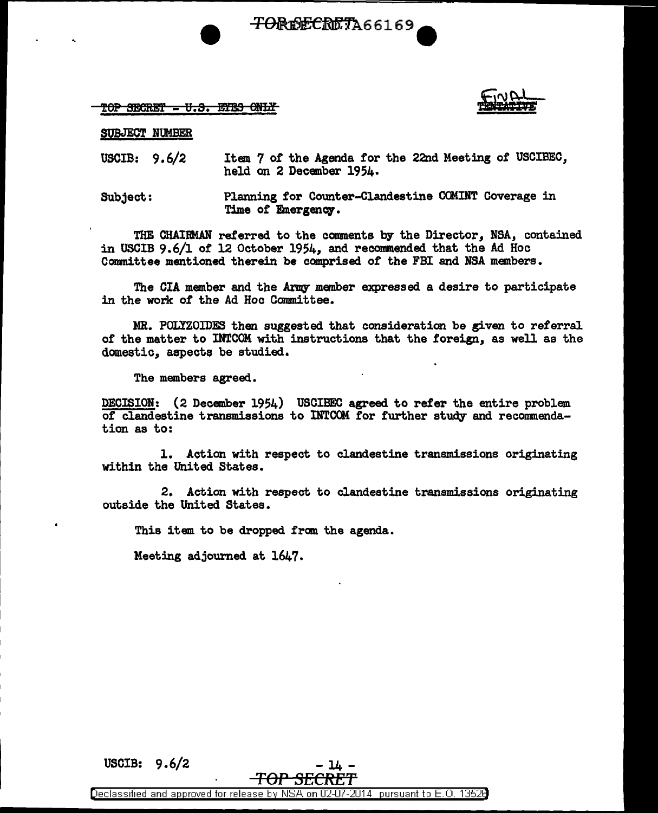<del>TOREECRET</del>A66169

## $\texttt{TOP}$  SECRET - U.S. EYBS ONLY

SUBJECT NUMBER

USCIB: 9.6/2 Item 7 of the Agenda for the 22nd Meeting of USCIBEC, held on 2 December 1954·

Subject: Planning for Counter-Clandestine CCMINT Coverage in Time of Emergency.

THE CHAIRMAN referred. to the comments by the Director, NSA, contained in USCIB 9.6/l of 12 October 1954, and recommended that the Ad Hoc Conmittee mentioned therein be comprised *ot* the FBI and NSA members.

The CIA member and the Army member expressed. a desire to participate in the work *ot* the Ad Hoc Committee.

MR. POLIZOIDES then suggested that consideration be given to referral *ot* the matter to INTCOM with instructions that the foreign, as well as the domestic, aspects be studied.

The members agreed.

DECISION: (2 December 1954) USCIBEC agreed to refer the entire problem of clandestine transmissions to INTCOM for further study and recommendation as to:

l. Action with respect to clandestine transmissions originating within the United States.

2. Action with respect to clandestine transmissions originating outside the United States.

This item to be dropped from the agenda.

Meeting adjourned at 1647.

USCIB:  $9.6/2$  - 14

Declassified and approved for release by NSA on 02-07-2014 pursuant to E. 0. 1352B